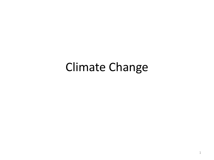# Climate Change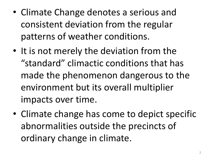- Climate Change denotes a serious and consistent deviation from the regular patterns of weather conditions.
- It is not merely the deviation from the "standard" climactic conditions that has made the phenomenon dangerous to the environment but its overall multiplier impacts over time.
- Climate change has come to depict specific abnormalities outside the precincts of ordinary change in climate.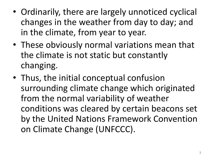- Ordinarily, there are largely unnoticed cyclical changes in the weather from day to day; and in the climate, from year to year.
- These obviously normal variations mean that the climate is not static but constantly changing.
- Thus, the initial conceptual confusion surrounding climate change which originated from the normal variability of weather conditions was cleared by certain beacons set by the United Nations Framework Convention on Climate Change (UNFCCC).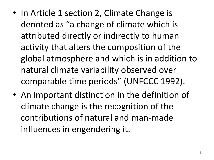- In Article 1 section 2, Climate Change is denoted as "a change of climate which is attributed directly or indirectly to human activity that alters the composition of the global atmosphere and which is in addition to natural climate variability observed over comparable time periods" (UNFCCC 1992).
- An important distinction in the definition of climate change is the recognition of the contributions of natural and man-made influences in engendering it.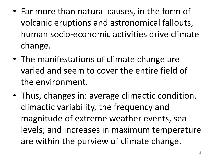- Far more than natural causes, in the form of volcanic eruptions and astronomical fallouts, human socio-economic activities drive climate change.
- The manifestations of climate change are varied and seem to cover the entire field of the environment.
- Thus, changes in: average climactic condition, climactic variability, the frequency and magnitude of extreme weather events, sea levels; and increases in maximum temperature are within the purview of climate change.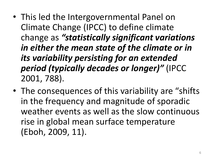- This led the Intergovernmental Panel on Climate Change (IPCC) to define climate change as *"statistically significant variations in either the mean state of the climate or in its variability persisting for an extended period (typically decades or longer)"* (IPCC 2001, 788).
- The consequences of this variability are "shifts in the frequency and magnitude of sporadic weather events as well as the slow continuous rise in global mean surface temperature (Eboh, 2009, 11).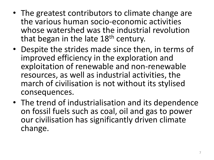- The greatest contributors to climate change are the various human socio-economic activities whose watershed was the industrial revolution that began in the late 18<sup>th</sup> century.
- Despite the strides made since then, in terms of improved efficiency in the exploration and exploitation of renewable and non-renewable resources, as well as industrial activities, the march of civilisation is not without its stylised consequences.
- The trend of industrialisation and its dependence on fossil fuels such as coal, oil and gas to power our civilisation has significantly driven climate change.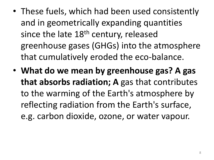- These fuels, which had been used consistently and in geometrically expanding quantities since the late  $18<sup>th</sup>$  century, released greenhouse gases (GHGs) into the atmosphere that cumulatively eroded the eco-balance.
- **What do we mean by greenhouse gas? A gas that absorbs radiation; A** gas that contributes to the warming of the Earth's atmosphere by reflecting radiation from the Earth's surface, e.g. carbon dioxide, ozone, or water vapour.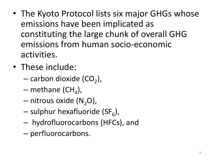- The Kyoto Protocol lists six major GHGs whose emissions have been implicated as constituting the large chunk of overall GHG emissions from human socio-economic activities.
- These include:
	- $-$  carbon dioxide (CO<sub>2</sub>),
	- $-$  methane (CH<sub>4</sub>),
	- $-$  nitrous oxide (N<sub>2</sub>O),
	- sulphur hexafluoride (SF<sub>6</sub>),
	- hydrofluorocarbons (HFCs), and
	- perfluorocarbons.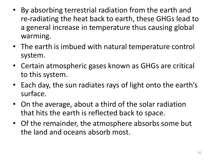- By absorbing terrestrial radiation from the earth and re-radiating the heat back to earth, these GHGs lead to a general increase in temperature thus causing global warming.
- The earth is imbued with natural temperature control system.
- Certain atmospheric gases known as GHGs are critical to this system.
- Each day, the sun radiates rays of light onto the earth's surface.
- On the average, about a third of the solar radiation that hits the earth is reflected back to space.
- Of the remainder, the atmosphere absorbs some but the land and oceans absorb most.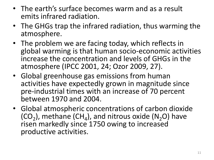- The earth's surface becomes warm and as a result emits infrared radiation.
- The GHGs trap the infrared radiation, thus warming the atmosphere.
- The problem we are facing today, which reflects in global warming is that human socio-economic activities increase the concentration and levels of GHGs in the atmosphere (IPCC 2001, 24; Ozor 2009, 27).
- Global greenhouse gas emissions from human activities have expectedly grown in magnitude since pre-industrial times with an increase of 70 percent between 1970 and 2004.
- Global atmospheric concentrations of carbon dioxide  $(CO_2)$ , methane  $(CH_4)$ , and nitrous oxide  $(N_2O)$  have risen markedly since 1750 owing to increased productive activities.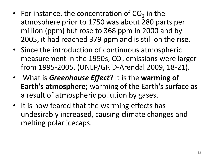- For instance, the concentration of  $CO<sub>2</sub>$  in the atmosphere prior to 1750 was about 280 parts per million (ppm) but rose to 368 ppm in 2000 and by 2005, it had reached 379 ppm and is still on the rise.
- Since the introduction of continuous atmospheric measurement in the 1950s,  $CO<sub>2</sub>$  emissions were larger from 1995-2005. (UNEP/GRID-Arendal 2009, 18-21).
- What is *Greenhouse Effect*? It is the **warming of Earth's atmosphere;** warming of the Earth's surface as a result of atmospheric pollution by gases.
- It is now feared that the warming effects has undesirably increased, causing climate changes and melting polar icecaps.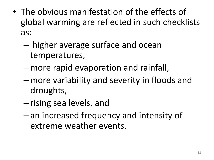- The obvious manifestation of the effects of global warming are reflected in such checklists as:
	- higher average surface and ocean temperatures,
	- –more rapid evaporation and rainfall,
	- –more variability and severity in floods and droughts,
	- rising sea levels, and
	- an increased frequency and intensity of extreme weather events.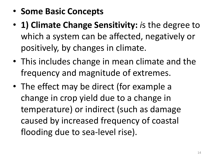- **Some Basic Concepts**
- **1) Climate Change Sensitivity:** *i*s the degree to which a system can be affected, negatively or positively, by changes in climate.
- This includes change in mean climate and the frequency and magnitude of extremes.
- The effect may be direct (for example a change in crop yield due to a change in temperature) or indirect (such as damage caused by increased frequency of coastal flooding due to sea-level rise).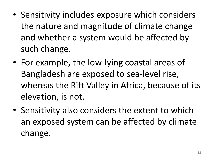- Sensitivity includes exposure which considers the nature and magnitude of climate change and whether a system would be affected by such change.
- For example, the low-lying coastal areas of Bangladesh are exposed to sea-level rise, whereas the Rift Valley in Africa, because of its elevation, is not.
- Sensitivity also considers the extent to which an exposed system can be affected by climate change.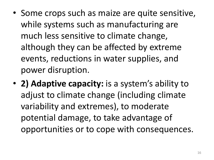- Some crops such as maize are quite sensitive, while systems such as manufacturing are much less sensitive to climate change, although they can be affected by extreme events, reductions in water supplies, and power disruption.
- **2) Adaptive capacity:** is a system's ability to adjust to climate change (including climate variability and extremes), to moderate potential damage, to take advantage of opportunities or to cope with consequences.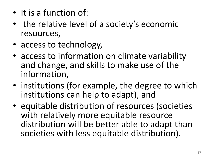- It is a function of:
- the relative level of a society's economic resources,
- access to technology,
- access to information on climate variability and change, and skills to make use of the information,
- institutions (for example, the degree to which institutions can help to adapt), and
- equitable distribution of resources (societies with relatively more equitable resource distribution will be better able to adapt than societies with less equitable distribution).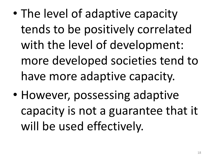- The level of adaptive capacity tends to be positively correlated with the level of development: more developed societies tend to have more adaptive capacity.
- However, possessing adaptive capacity is not a guarantee that it will be used effectively.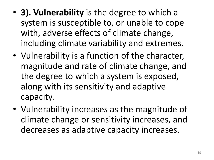- **3). Vulnerability** is the degree to which a system is susceptible to, or unable to cope with, adverse effects of climate change, including climate variability and extremes.
- Vulnerability is a function of the character, magnitude and rate of climate change, and the degree to which a system is exposed, along with its sensitivity and adaptive capacity.
- Vulnerability increases as the magnitude of climate change or sensitivity increases, and decreases as adaptive capacity increases.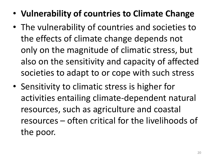- **Vulnerability of countries to Climate Change**
- The vulnerability of countries and societies to the effects of climate change depends not only on the magnitude of climatic stress, but also on the sensitivity and capacity of affected societies to adapt to or cope with such stress
- Sensitivity to climatic stress is higher for activities entailing climate-dependent natural resources, such as agriculture and coastal resources – often critical for the livelihoods of the poor.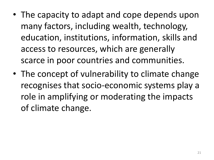- The capacity to adapt and cope depends upon many factors, including wealth, technology, education, institutions, information, skills and access to resources, which are generally scarce in poor countries and communities.
- The concept of vulnerability to climate change recognises that socio-economic systems play a role in amplifying or moderating the impacts of climate change.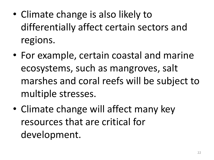- Climate change is also likely to differentially affect certain sectors and regions.
- For example, certain coastal and marine ecosystems, such as mangroves, salt marshes and coral reefs will be subject to multiple stresses.
- Climate change will affect many key resources that are critical for development.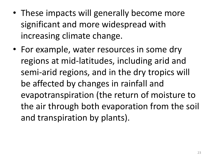- These impacts will generally become more significant and more widespread with increasing climate change.
- For example, water resources in some dry regions at mid-latitudes, including arid and semi-arid regions, and in the dry tropics will be affected by changes in rainfall and evapotranspiration (the return of moisture to the air through both evaporation from the soil and transpiration by plants).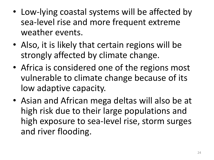- Low-lying coastal systems will be affected by sea-level rise and more frequent extreme weather events.
- Also, it is likely that certain regions will be strongly affected by climate change.
- Africa is considered one of the regions most vulnerable to climate change because of its low adaptive capacity.
- Asian and African mega deltas will also be at high risk due to their large populations and high exposure to sea-level rise, storm surges and river flooding.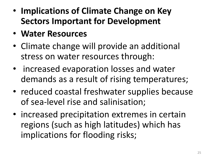- **Implications of Climate Change on Key Sectors Important for Development**
- **Water Resources**
- Climate change will provide an additional stress on water resources through:
- increased evaporation losses and water demands as a result of rising temperatures;
- reduced coastal freshwater supplies because of sea-level rise and salinisation;
- increased precipitation extremes in certain regions (such as high latitudes) which has implications for flooding risks;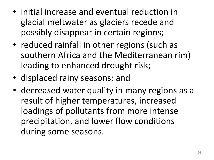- initial increase and eventual reduction in glacial meltwater as glaciers recede and possibly disappear in certain regions;
- reduced rainfall in other regions (such as southern Africa and the Mediterranean rim) leading to enhanced drought risk;
- displaced rainy seasons; and
- decreased water quality in many regions as a result of higher temperatures, increased loadings of pollutants from more intense precipitation, and lower flow conditions during some seasons.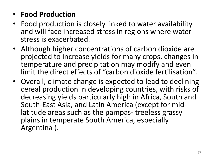### • **Food Production**

- Food production is closely linked to water availability and will face increased stress in regions where water stress is exacerbated.
- Although higher concentrations of carbon dioxide are projected to increase yields for many crops, changes in temperature and precipitation may modify and even limit the direct effects of "carbon dioxide fertilisation".
- Overall, climate change is expected to lead to declining cereal production in developing countries, with risks of decreasing yields particularly high in Africa, South and South-East Asia, and Latin America (except for midlatitude areas such as the pampas- treeless grassy plains in temperate South America, especially Argentina ).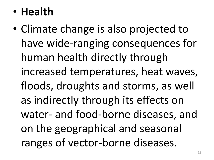# • **Health**

• Climate change is also projected to have wide-ranging consequences for human health directly through increased temperatures, heat waves, floods, droughts and storms, as well as indirectly through its effects on water- and food-borne diseases, and on the geographical and seasonal ranges of vector-borne diseases.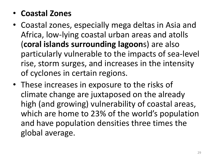- **Coastal Zones**
- Coastal zones, especially mega deltas in Asia and Africa, low-lying coastal urban areas and atolls (**coral islands surrounding lagoon**s) are also particularly vulnerable to the impacts of sea-level rise, storm surges, and increases in the intensity of cyclones in certain regions.
- These increases in exposure to the risks of climate change are juxtaposed on the already high (and growing) vulnerability of coastal areas, which are home to 23% of the world's population and have population densities three times the global average.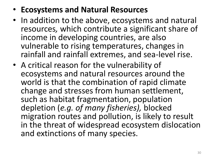### • **Ecosystems and Natural Resources**

- In addition to the above, ecosystems and natural resources*,* which contribute a significant share of income in developing countries, are also vulnerable to rising temperatures, changes in rainfall and rainfall extremes, and sea-level rise.
- A critical reason for the vulnerability of ecosystems and natural resources around the world is that the combination of rapid climate change and stresses from human settlement, such as habitat fragmentation, population depletion (*e.g. of many fisheries),* blocked migration routes and pollution, is likely to result in the threat of widespread ecosystem dislocation and extinctions of many species.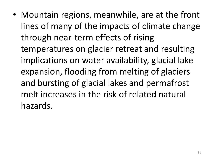• Mountain regions, meanwhile, are at the front lines of many of the impacts of climate change through near-term effects of rising temperatures on glacier retreat and resulting implications on water availability, glacial lake expansion, flooding from melting of glaciers and bursting of glacial lakes and permafrost melt increases in the risk of related natural hazards.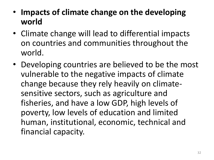- **Impacts of climate change on the developing world**
- Climate change will lead to differential impacts on countries and communities throughout the world.
- Developing countries are believed to be the most vulnerable to the negative impacts of climate change because they rely heavily on climatesensitive sectors, such as agriculture and fisheries, and have a low GDP, high levels of poverty, low levels of education and limited human, institutional, economic, technical and financial capacity.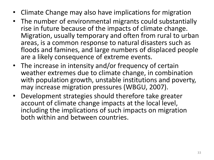- Climate Change may also have implications for migration
- The number of environmental migrants could substantially rise in future because of the impacts of climate change. Migration, usually temporary and often from rural to urban areas, is a common response to natural disasters such as floods and famines, and large numbers of displaced people are a likely consequence of extreme events.
- The increase in intensity and/or frequency of certain weather extremes due to climate change, in combination with population growth, unstable institutions and poverty, may increase migration pressures (WBGU, 2007).
- Development strategies should therefore take greater account of climate change impacts at the local level, including the implications of such impacts on migration both within and between countries.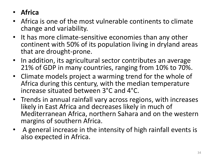- **Africa**
- Africa is one of the most vulnerable continents to climate change and variability.
- It has more climate-sensitive economies than any other continent with 50% of its population living in dryland areas that are drought-prone.
- In addition, its agricultural sector contributes an average 21% of GDP in many countries, ranging from 10% to 70%.
- Climate models project a warming trend for the whole of Africa during this century, with the median temperature increase situated between 3°C and 4°C.
- Trends in annual rainfall vary across regions, with increases likely in East Africa and decreases likely in much of Mediterranean Africa, northern Sahara and on the western margins of southern Africa.
- A general increase in the intensity of high rainfall events is also expected in Africa.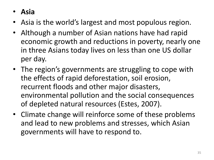- **Asia**
- Asia is the world's largest and most populous region.
- Although a number of Asian nations have had rapid economic growth and reductions in poverty, nearly one in three Asians today lives on less than one US dollar per day.
- The region's governments are struggling to cope with the effects of rapid deforestation, soil erosion, recurrent floods and other major disasters, environmental pollution and the social consequences of depleted natural resources (Estes, 2007).
- Climate change will reinforce some of these problems and lead to new problems and stresses, which Asian governments will have to respond to.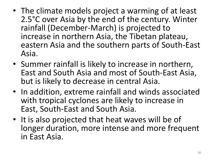- The climate models project a warming of at least 2.5°C over Asia by the end of the century. Winter rainfall (December-March) is projected to increase in northern Asia, the Tibetan plateau, eastern Asia and the southern parts of South-East Asia.
- Summer rainfall is likely to increase in northern, East and South Asia and most of South-East Asia, but is likely to decrease in central Asia.
- In addition, extreme rainfall and winds associated with tropical cyclones are likely to increase in East, South-East and South Asia.
- It is also projected that heat waves will be of longer duration, more intense and more frequent in East Asia.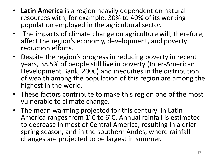- **Latin America** is a region heavily dependent on natural resources with, for example, 30% to 40% of its working population employed in the agricultural sector.
- The impacts of climate change on agriculture will, therefore, affect the region's economy, development, and poverty reduction efforts.
- Despite the region's progress in reducing poverty in recent years, 38.5% of people still live in poverty (Inter-American Development Bank, 2006) and inequities in the distribution of wealth among the population of this region are among the highest in the world.
- These factors contribute to make this region one of the most vulnerable to climate change.
- The mean warming projected for this century in Latin America ranges from 1°C to 6°C. Annual rainfall is estimated to decrease in most of Central America, resulting in a drier spring season, and in the southern Andes, where rainfall changes are projected to be largest in summer.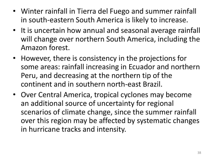- Winter rainfall in Tierra del Fuego and summer rainfall in south-eastern South America is likely to increase.
- It is uncertain how annual and seasonal average rainfall will change over northern South America, including the Amazon forest.
- However, there is consistency in the projections for some areas: rainfall increasing in Ecuador and northern Peru, and decreasing at the northern tip of the continent and in southern north-east Brazil.
- Over Central America, tropical cyclones may become an additional source of uncertainty for regional scenarios of climate change, since the summer rainfall over this region may be affected by systematic changes in hurricane tracks and intensity.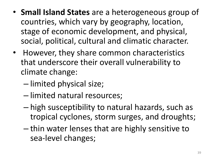- **Small Island States** are a heterogeneous group of countries, which vary by geography, location, stage of economic development, and physical, social, political, cultural and climatic character.
- However, they share common characteristics that underscore their overall vulnerability to climate change:
	- limited physical size;
	- limited natural resources;
	- high susceptibility to natural hazards, such as tropical cyclones, storm surges, and droughts;
	- thin water lenses that are highly sensitive to sea-level changes;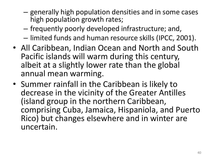- generally high population densities and in some cases high population growth rates;
- frequently poorly developed infrastructure; and,
- limited funds and human resource skills (IPCC, 2001).
- All Caribbean, Indian Ocean and North and South Pacific islands will warm during this century, albeit at a slightly lower rate than the global annual mean warming.
- Summer rainfall in the Caribbean is likely to decrease in the vicinity of the Greater Antilles (island group in the northern Caribbean, comprising Cuba, Jamaica, Hispaniola, and Puerto Rico) but changes elsewhere and in winter are uncertain.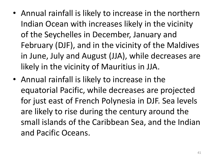- Annual rainfall is likely to increase in the northern Indian Ocean with increases likely in the vicinity of the Seychelles in December, January and February (DJF), and in the vicinity of the Maldives in June, July and August (JJA), while decreases are likely in the vicinity of Mauritius in JJA.
- Annual rainfall is likely to increase in the equatorial Pacific, while decreases are projected for just east of French Polynesia in DJF. Sea levels are likely to rise during the century around the small islands of the Caribbean Sea, and the Indian and Pacific Oceans.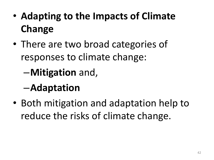- **Adapting to the Impacts of Climate Change**
- There are two broad categories of responses to climate change:

–**Mitigation** and,

## –**Adaptation**

• Both mitigation and adaptation help to reduce the risks of climate change.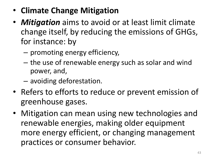- **Climate Change Mitigation**
- *Mitigation* aims to avoid or at least limit climate change itself, by reducing the emissions of GHGs, for instance: by
	- promoting energy efficiency,
	- the use of renewable energy such as solar and wind power, and,
	- avoiding deforestation.
- Refers to efforts to reduce or prevent emission of greenhouse gases.
- Mitigation can mean using new technologies and renewable energies, making older equipment more energy efficient, or changing management practices or consumer behavior.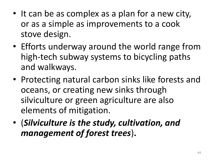- It can be as complex as a plan for a new city, or as a simple as improvements to a cook stove design.
- Efforts underway around the world range from high-tech subway systems to bicycling paths and walkways.
- Protecting natural carbon sinks like forests and oceans, or creating new sinks through silviculture or green agriculture are also elements of mitigation.
- (*Silviculture is the study, cultivation, and management of forest trees*)**.**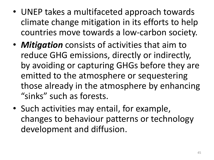- UNEP takes a multifaceted approach towards climate change mitigation in its efforts to help countries move towards a low-carbon society.
- *Mitigation* consists of activities that aim to reduce GHG emissions, directly or indirectly, by avoiding or capturing GHGs before they are emitted to the atmosphere or sequestering those already in the atmosphere by enhancing "sinks" such as forests.
- Such activities may entail, for example, changes to behaviour patterns or technology development and diffusion.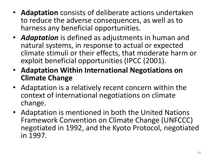- **Adaptation** consists of deliberate actions undertaken to reduce the adverse consequences, as well as to harness any beneficial opportunities.
- *Adaptation* is defined as adjustments in human and natural systems, in response to actual or expected climate stimuli or their effects, that moderate harm or exploit beneficial opportunities (IPCC (2001).
- **Adaptation Within International Negotiations on Climate Change**
- Adaptation is a relatively recent concern within the context of international negotiations on climate change.
- Adaptation is mentioned in both the United Nations Framework Convention on Climate Change (UNFCCC) negotiated in 1992, and the Kyoto Protocol, negotiated in 1997.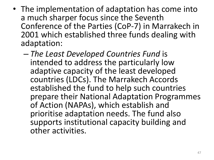- The implementation of adaptation has come into a much sharper focus since the Seventh Conference of the Parties (CoP-7) in Marrakech in 2001 which established three funds dealing with adaptation:
	- *The Least Developed Countries Fund* is intended to address the particularly low adaptive capacity of the least developed countries (LDCs). The Marrakech Accords established the fund to help such countries prepare their National Adaptation Programmes of Action (NAPAs), which establish and prioritise adaptation needs. The fund also supports institutional capacity building and other activities.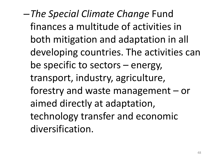–*The Special Climate Change* Fund finances a multitude of activities in both mitigation and adaptation in all developing countries. The activities can be specific to sectors – energy, transport, industry, agriculture, forestry and waste management – or aimed directly at adaptation, technology transfer and economic diversification.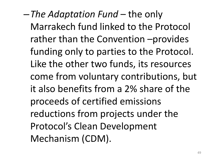–*The Adaptation Fund* – the only Marrakech fund linked to the Protocol rather than the Convention –provides funding only to parties to the Protocol. Like the other two funds, its resources come from voluntary contributions, but it also benefits from a 2% share of the proceeds of certified emissions reductions from projects under the Protocol's Clean Development Mechanism (CDM).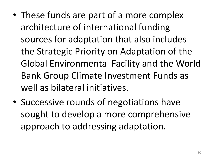- These funds are part of a more complex architecture of international funding sources for adaptation that also includes the Strategic Priority on Adaptation of the Global Environmental Facility and the World Bank Group Climate Investment Funds as well as bilateral initiatives.
- Successive rounds of negotiations have sought to develop a more comprehensive approach to addressing adaptation.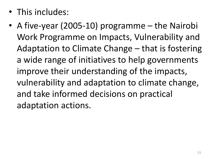- This includes:
- A five-year (2005-10) programme the Nairobi Work Programme on Impacts, Vulnerability and Adaptation to Climate Change – that is fostering a wide range of initiatives to help governments improve their understanding of the impacts, vulnerability and adaptation to climate change, and take informed decisions on practical adaptation actions.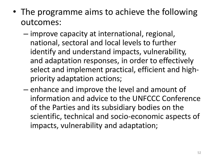- The programme aims to achieve the following outcomes:
	- improve capacity at international, regional, national, sectoral and local levels to further identify and understand impacts, vulnerability, and adaptation responses, in order to effectively select and implement practical, efficient and highpriority adaptation actions;
	- enhance and improve the level and amount of information and advice to the UNFCCC Conference of the Parties and its subsidiary bodies on the scientific, technical and socio-economic aspects of impacts, vulnerability and adaptation;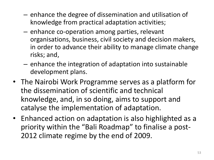- enhance the degree of dissemination and utilisation of knowledge from practical adaptation activities;
- enhance co-operation among parties, relevant organisations, business, civil society and decision makers, in order to advance their ability to manage climate change risks; and,
- enhance the integration of adaptation into sustainable development plans.
- The Nairobi Work Programme serves as a platform for the dissemination of scientific and technical knowledge, and, in so doing, aims to support and catalyse the implementation of adaptation.
- Enhanced action on adaptation is also highlighted as a priority within the "Bali Roadmap" to finalise a post-2012 climate regime by the end of 2009.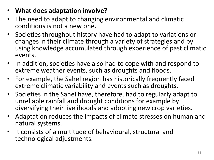- **What does adaptation involve?**
- The need to adapt to changing environmental and climatic conditions is not a new one.
- Societies throughout history have had to adapt to variations or changes in their climate through a variety of strategies and by using knowledge accumulated through experience of past climatic events.
- In addition, societies have also had to cope with and respond to extreme weather events, such as droughts and floods.
- For example, the Sahel region has historically frequently faced extreme climatic variability and events such as droughts.
- Societies in the Sahel have, therefore, had to regularly adapt to unreliable rainfall and drought conditions for example by diversifying their livelihoods and adopting new crop varieties.
- Adaptation reduces the impacts of climate stresses on human and natural systems.
- It consists of a multitude of behavioural, structural and technological adjustments.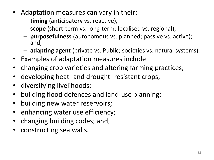- Adaptation measures can vary in their:
	- **timing** (anticipatory vs. reactive),
	- **scope** (short-term vs. long-term; localised vs. regional),
	- **purposefulness** (autonomous vs. planned; passive vs. active); and,
	- **adapting agent** (private vs. Public; societies vs. natural systems).
- Examples of adaptation measures include:
- changing crop varieties and altering farming practices;
- developing heat- and drought- resistant crops;
- diversifying livelihoods;
- building flood defences and land-use planning;
- building new water reservoirs;
- enhancing water use efficiency;
- changing building codes; and,
- constructing sea walls.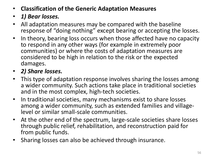- **Classification of the Generic Adaptation Measures**
- *1) Bear losses.*
- All adaptation measures may be compared with the baseline response of "doing nothing" except bearing or accepting the losses.
- In theory, bearing loss occurs when those affected have no capacity to respond in any other ways (for example in extremely poor communities) or where the costs of adaptation measures are considered to be high in relation to the risk or the expected damages.
- *2) Share losses.*
- This type of adaptation response involves sharing the losses among a wider community. Such actions take place in traditional societies and in the most complex, high-tech societies.
- In traditional societies, many mechanisms exist to share losses among a wider community, such as extended families and villagelevel or similar small-scale communities.
- At the other end of the spectrum, large-scale societies share losses through public relief, rehabilitation, and reconstruction paid for from public funds.
- Sharing losses can also be achieved through insurance.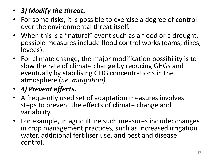- *3) Modify the threat.*
- For some risks, it is possible to exercise a degree of control over the environmental threat itself.
- When this is a "natural" event such as a flood or a drought, possible measures include flood control works (dams, dikes, levees).
- For climate change, the major modification possibility is to slow the rate of climate change by reducing GHGs and eventually by stabilising GHG concentrations in the atmosphere (*i.e. mitigation).*
- *4) Prevent effects.*
- A frequently used set of adaptation measures involves steps to prevent the effects of climate change and variability.
- For example, in agriculture such measures include: changes in crop management practices, such as increased irrigation water, additional fertiliser use, and pest and disease control.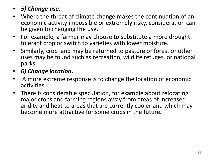#### • *5) Change use.*

- Where the threat of climate change makes the continuation of an economic activity impossible or extremely risky, consideration can be given to changing the use.
- For example, a farmer may choose to substitute a more drought tolerant crop or switch to varieties with lower moisture.
- Similarly, crop land may be returned to pasture or forest or other uses may be found such as recreation, wildlife refuges, or national parks.
- *6) Change location.*
- A more extreme response is to change the location of economic activities.
- There is considerable speculation, for example about relocating major crops and farming regions away from areas of increased aridity and heat to areas that are currently cooler and which may become more attractive for some crops in the future.